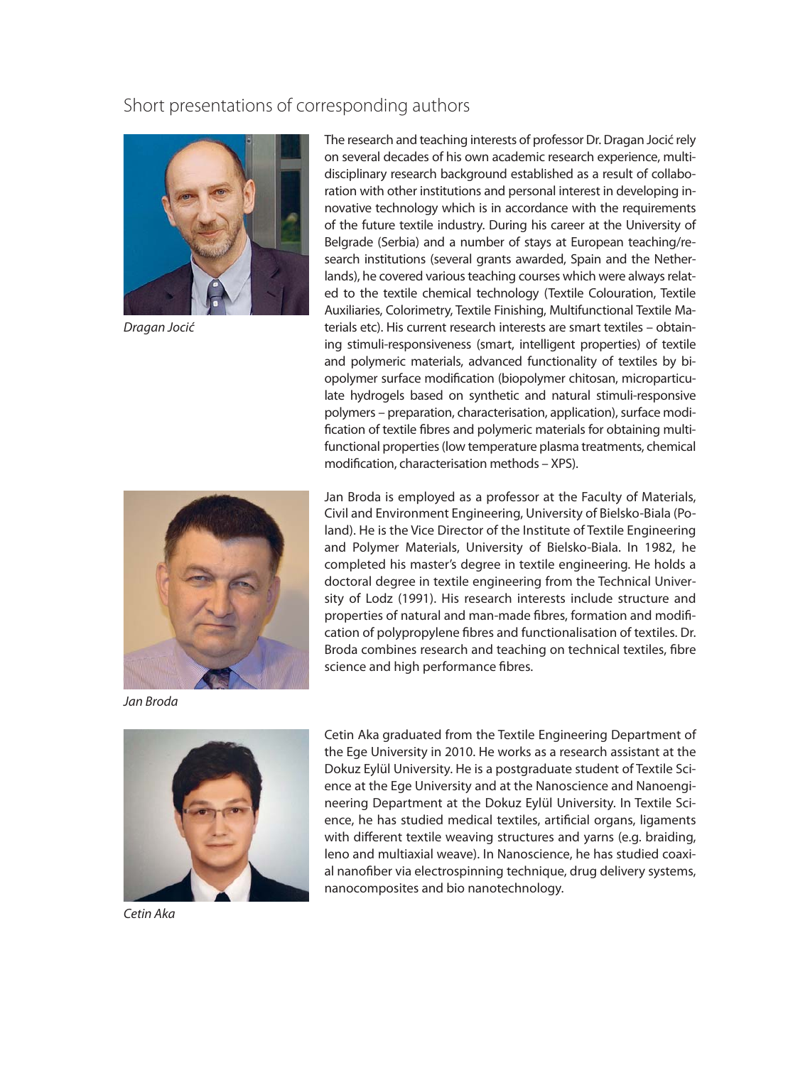## Short presentations of corresponding authors



Dragan Jocić



Jan Broda



Cetin Aka

The research and teaching interests of professor Dr. Dragan Jocić rely on several decades of his own academic research experience, multidisciplinary research background established as a result of collaboration with other institutions and personal interest in developing innovative technology which is in accordance with the requirements of the future textile industry. During his career at the University of Belgrade (Serbia) and a number of stays at European teaching/research institutions (several grants awarded, Spain and the Netherlands), he covered various teaching courses which were always related to the textile chemical technology (Textile Colouration, Textile Auxiliaries, Colorimetry, Textile Finishing, Multifunctional Textile Materials etc). His current research interests are smart textiles – obtaining stimuli-responsiveness (smart, intelligent properties) of textile and polymeric materials, advanced functionality of textiles by biopolymer surface modification (biopolymer chitosan, microparticulate hydrogels based on synthetic and natural stimuli-responsive polymers – preparation, characterisation, application), surface modification of textile fibres and polymeric materials for obtaining multifunctional properties (low temperature plasma treatments, chemical modification, characterisation methods - XPS).

Jan Broda is employed as a professor at the Faculty of Materials, Civil and Environment Engineering, University of Bielsko-Biala (Poland). He is the Vice Director of the Institute of Textile Engineering and Polymer Materials, University of Bielsko-Biala. In 1982, he completed his master's degree in textile engineering. He holds a doctoral degree in textile engineering from the Technical University of Lodz (1991). His research interests include structure and properties of natural and man-made fibres, formation and modification of polypropylene fibres and functionalisation of textiles. Dr. Broda combines research and teaching on technical textiles, fibre science and high performance fibres.

Cetin Aka graduated from the Textile Engineering Department of the Ege University in 2010. He works as a research assistant at the Dokuz Eylül University. He is a postgraduate student of Textile Science at the Ege University and at the Nanoscience and Nanoengineering Department at the Dokuz Eylül University. In Textile Science, he has studied medical textiles, artificial organs, ligaments with different textile weaving structures and yarns (e.g. braiding, leno and multiaxial weave). In Nanoscience, he has studied coaxial nanofiber via electrospinning technique, drug delivery systems, nanocomposites and bio nanotechnology.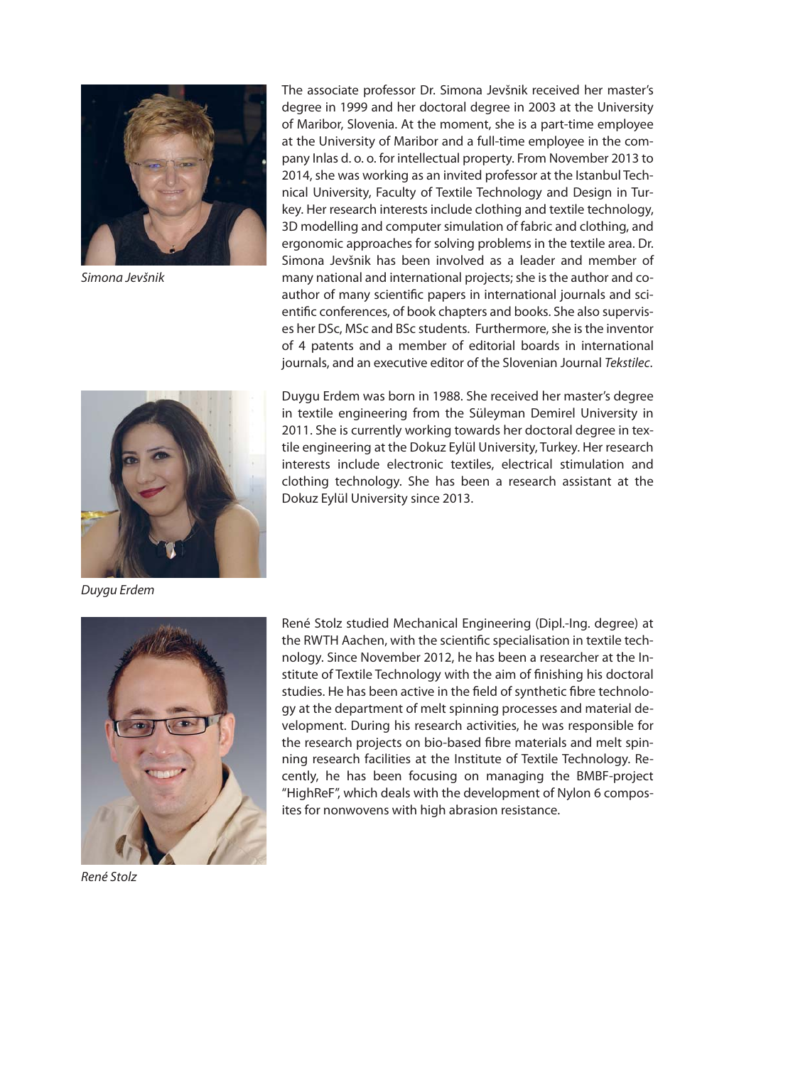

Simona Jevšnik



Duygu Erdem

The associate professor Dr. Simona Jevšnik received her master's degree in 1999 and her doctoral degree in 2003 at the University of Maribor, Slovenia. At the moment, she is a part-time employee at the University of Maribor and a full-time employee in the company Inlas d. o. o. for intellectual property. From November 2013 to 2014, she was working as an invited professor at the Istanbul Technical University, Faculty of Textile Technology and Design in Turkey. Her research interests include clothing and textile technology, 3D modelling and computer simulation of fabric and clothing, and ergonomic approaches for solving problems in the textile area. Dr. Simona Jevšnik has been involved as a leader and member of many national and international projects; she is the author and coauthor of many scientific papers in international journals and scientific conferences, of book chapters and books. She also supervises her DSc, MSc and BSc students. Furthermore, she is the inventor of 4 patents and a member of editorial boards in international journals, and an executive editor of the Slovenian Journal Tekstilec.

Duygu Erdem was born in 1988. She received her master's degree in textile engineering from the Süleyman Demirel University in 2011. She is currently working towards her doctoral degree in textile engineering at the Dokuz Eylül University, Turkey. Her research interests include electronic textiles, electrical stimulation and clothing technology. She has been a research assistant at the Dokuz Eylül University since 2013.



René Stolz studied Mechanical Engineering (Dipl.-Ing. degree) at the RWTH Aachen, with the scientific specialisation in textile technology. Since November 2012, he has been a researcher at the Institute of Textile Technology with the aim of finishing his doctoral studies. He has been active in the field of synthetic fibre technology at the department of melt spinning processes and material development. During his research activities, he was responsible for the research projects on bio-based fibre materials and melt spinning research facilities at the Institute of Textile Technology. Recently, he has been focusing on managing the BMBF-project "HighReF", which deals with the development of Nylon 6 composites for nonwovens with high abrasion resistance.

René Stolz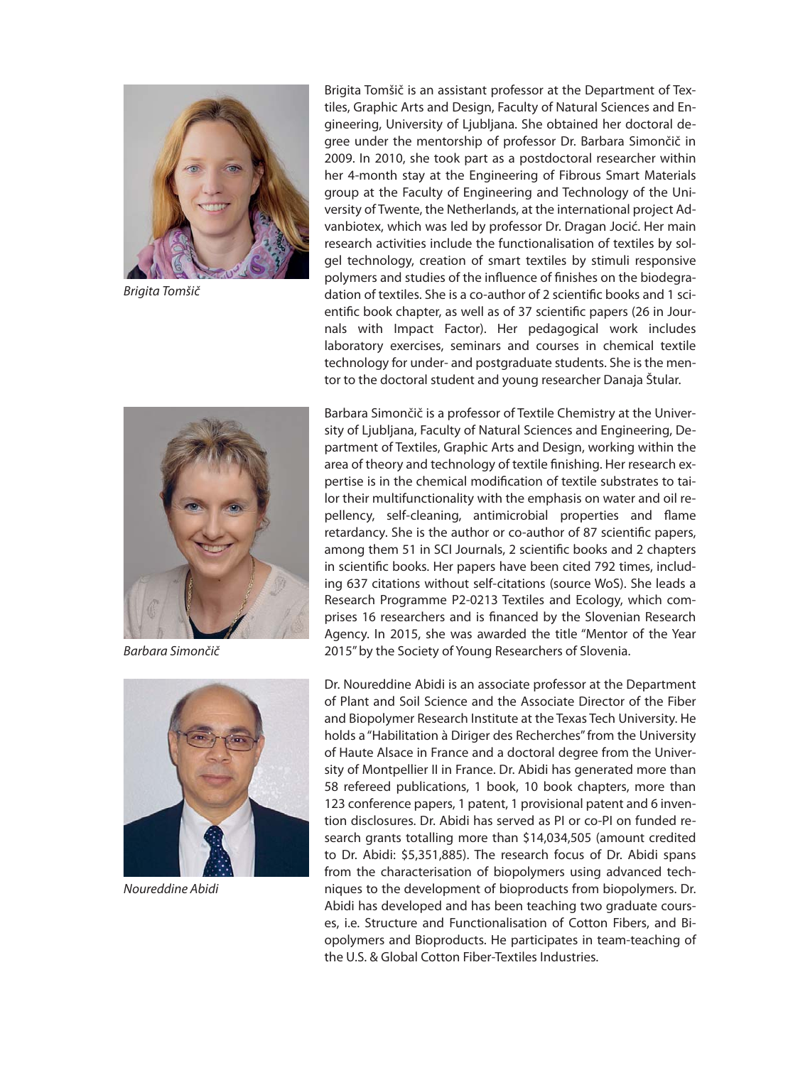

Brigita Tomšič

Brigita Tomšič is an assistant professor at the Department of Textiles, Graphic Arts and Design, Faculty of Natural Sciences and Engineering, University of Ljubljana. She obtained her doctoral degree under the mentorship of professor Dr. Barbara Simončič in 2009. In 2010, she took part as a postdoctoral researcher within her 4-month stay at the Engineering of Fibrous Smart Materials group at the Faculty of Engineering and Technology of the University of Twente, the Netherlands, at the international project Advanbiotex, which was led by professor Dr. Dragan Jocić. Her main research activities include the functionalisation of textiles by solgel technology, creation of smart textiles by stimuli responsive polymers and studies of the influence of finishes on the biodegradation of textiles. She is a co-author of 2 scientific books and 1 scientific book chapter, as well as of 37 scientific papers (26 in Journals with Impact Factor). Her pedagogical work includes laboratory exercises, seminars and courses in chemical textile technology for under- and postgraduate students. She is the mentor to the doctoral student and young researcher Danaja Štular.



Barbara Simončič



Noureddine Abidi

Barbara Simončič is a professor of Textile Chemistry at the University of Ljubljana, Faculty of Natural Sciences and Engineering, Department of Textiles, Graphic Arts and Design, working within the area of theory and technology of textile finishing. Her research expertise is in the chemical modification of textile substrates to tailor their multifunctionality with the emphasis on water and oil repellency, self-cleaning, antimicrobial properties and flame retardancy. She is the author or co-author of 87 scientific papers, among them 51 in SCI Journals, 2 scientific books and 2 chapters in scientific books. Her papers have been cited 792 times, including 637 citations without self-citations (source WoS). She leads a Research Programme P2-0213 Textiles and Ecology, which comprises 16 researchers and is financed by the Slovenian Research Agency. In 2015, she was awarded the title "Mentor of the Year 2015" by the Society of Young Researchers of Slovenia.

Dr. Noureddine Abidi is an associate professor at the Department of Plant and Soil Science and the Associate Director of the Fiber and Biopolymer Research Institute at the Texas Tech University. He holds a "Habilitation à Diriger des Recherches" from the University of Haute Alsace in France and a doctoral degree from the University of Montpellier II in France. Dr. Abidi has generated more than 58 refereed publications, 1 book, 10 book chapters, more than 123 conference papers, 1 patent, 1 provisional patent and 6 invention disclosures. Dr. Abidi has served as PI or co-PI on funded research grants totalling more than \$14,034,505 (amount credited to Dr. Abidi: \$5,351,885). The research focus of Dr. Abidi spans from the characterisation of biopolymers using advanced techniques to the development of bioproducts from biopolymers. Dr. Abidi has developed and has been teaching two graduate courses, i.e. Structure and Functionalisation of Cotton Fibers, and Biopolymers and Bioproducts. He participates in team-teaching of the U.S. & Global Cotton Fiber-Textiles Industries.